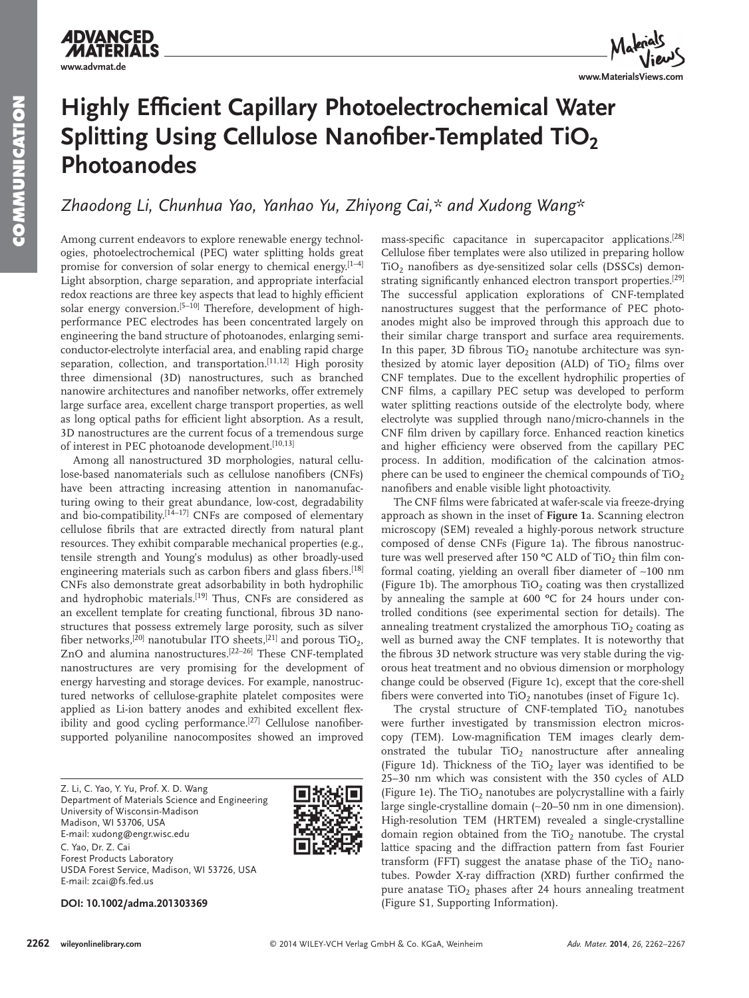**ADVANCED MATERI www.advmat.de**

**www.MaterialsViews.com**

# **Highly Efficient Capillary Photoelectrochemical Water Splitting Using Cellulose Nanofiber-Templated TiO<sub>2</sub> Photoanodes**

 *Zhaodong Li , Chunhua Yao , Yanhao Yu , Zhiyong Cai ,\* and Xudong Wang\** 

 Among current endeavors to explore renewable energy technologies, photoelectrochemical (PEC) water splitting holds great promise for conversion of solar energy to chemical energy.  $[1-4]$ Light absorption, charge separation, and appropriate interfacial redox reactions are three key aspects that lead to highly efficient solar energy conversion.<sup>[5-10]</sup> Therefore, development of highperformance PEC electrodes has been concentrated largely on engineering the band structure of photoanodes, enlarging semiconductor-electrolyte interfacial area, and enabling rapid charge separation, collection, and transportation.<sup>[11,12]</sup> High porosity three dimensional (3D) nanostructures, such as branched nanowire architectures and nanofiber networks, offer extremely large surface area, excellent charge transport properties, as well as long optical paths for efficient light absorption. As a result, 3D nanostructures are the current focus of a tremendous surge of interest in PEC photoanode development.<sup>[10,13]</sup>

 Among all nanostructured 3D morphologies, natural cellulose-based nanomaterials such as cellulose nanofibers (CNFs) have been attracting increasing attention in nanomanufacturing owing to their great abundance, low-cost, degradability and bio-compatibility.<sup>[14-17]</sup> CNFs are composed of elementary cellulose fibrils that are extracted directly from natural plant resources. They exhibit comparable mechanical properties (e.g., tensile strength and Young's modulus) as other broadly-used engineering materials such as carbon fibers and glass fibers.<sup>[18]</sup> CNFs also demonstrate great adsorbability in both hydrophilic and hydrophobic materials.<sup>[19]</sup> Thus, CNFs are considered as an excellent template for creating functional, fibrous 3D nanostructures that possess extremely large porosity, such as silver fiber networks,  $^{[20]}$  nanotubular ITO sheets,  $^{[21]}$  and porous TiO<sub>2</sub>, ZnO and alumina nanostructures.<sup>[22-26]</sup> These CNF-templated nanostructures are very promising for the development of energy harvesting and storage devices. For example, nanostructured networks of cellulose-graphite platelet composites were applied as Li-ion battery anodes and exhibited excellent flexibility and good cycling performance.<sup>[27]</sup> Cellulose nanofibersupported polyaniline nanocomposites showed an improved

 Z. Li, C. Yao, Y. Yu, Prof. X. D. Wang Department of Materials Science and Engineering University of Wisconsin-Madison Madison, WI 53706, USA E-mail: xudong@engr.wisc.edu C. Yao, Dr. Z. Cai Forest Products Laboratory USDA Forest Service, Madison, WI 53726, USA E-mail: zcai@fs.fed.us



 **DOI: 10.1002/adma.201303369** 

mass-specific capacitance in supercapacitor applications.<sup>[28]</sup> Cellulose fiber templates were also utilized in preparing hollow TiO<sub>2</sub> nanofibers as dye-sensitized solar cells (DSSCs) demonstrating significantly enhanced electron transport properties.<sup>[29]</sup> The successful application explorations of CNF-templated nanostructures suggest that the performance of PEC photoanodes might also be improved through this approach due to their similar charge transport and surface area requirements. In this paper, 3D fibrous TiO<sub>2</sub> nanotube architecture was synthesized by atomic layer deposition (ALD) of  $TiO<sub>2</sub>$  films over CNF templates. Due to the excellent hydrophilic properties of CNF films, a capillary PEC setup was developed to perform water splitting reactions outside of the electrolyte body, where electrolyte was supplied through nano/micro-channels in the CNF film driven by capillary force. Enhanced reaction kinetics and higher efficiency were observed from the capillary PEC process. In addition, modification of the calcination atmosphere can be used to engineer the chemical compounds of  $TiO<sub>2</sub>$ nanofibers and enable visible light photoactivity.

The CNF films were fabricated at wafer-scale via freeze-drying approach as shown in the inset of **Figure 1** a. Scanning electron microscopy (SEM) revealed a highly-porous network structure composed of dense CNFs (Figure 1a). The fibrous nanostructure was well preserved after 150  $\rm{°C}$  ALD of TiO<sub>2</sub> thin film conformal coating, yielding an overall fiber diameter of ~100 nm (Figure 1b). The amorphous  $TiO<sub>2</sub>$  coating was then crystallized by annealing the sample at 600 ºC for 24 hours under controlled conditions (see experimental section for details). The annealing treatment crystalized the amorphous  $TiO<sub>2</sub>$  coating as well as burned away the CNF templates. It is noteworthy that the fibrous 3D network structure was very stable during the vigorous heat treatment and no obvious dimension or morphology change could be observed (Figure 1c), except that the core-shell fibers were converted into  $TiO<sub>2</sub>$  nanotubes (inset of Figure 1c).

The crystal structure of CNF-templated TiO<sub>2</sub> nanotubes were further investigated by transmission electron microscopy (TEM). Low-magnification TEM images clearly demonstrated the tubular  $TiO<sub>2</sub>$  nanostructure after annealing (Figure 1d). Thickness of the TiO<sub>2</sub> layer was identified to be 25–30 nm which was consistent with the 350 cycles of ALD (Figure 1e). The TiO<sub>2</sub> nanotubes are polycrystalline with a fairly large single-crystalline domain (~20–50 nm in one dimension). High-resolution TEM (HRTEM) revealed a single-crystalline domain region obtained from the TiO<sub>2</sub> nanotube. The crystal lattice spacing and the diffraction pattern from fast Fourier transform (FFT) suggest the anatase phase of the  $TiO<sub>2</sub>$  nanotubes. Powder X-ray diffraction (XRD) further confirmed the pure anatase  $TiO<sub>2</sub>$  phases after 24 hours annealing treatment (Figure S1, Supporting Information).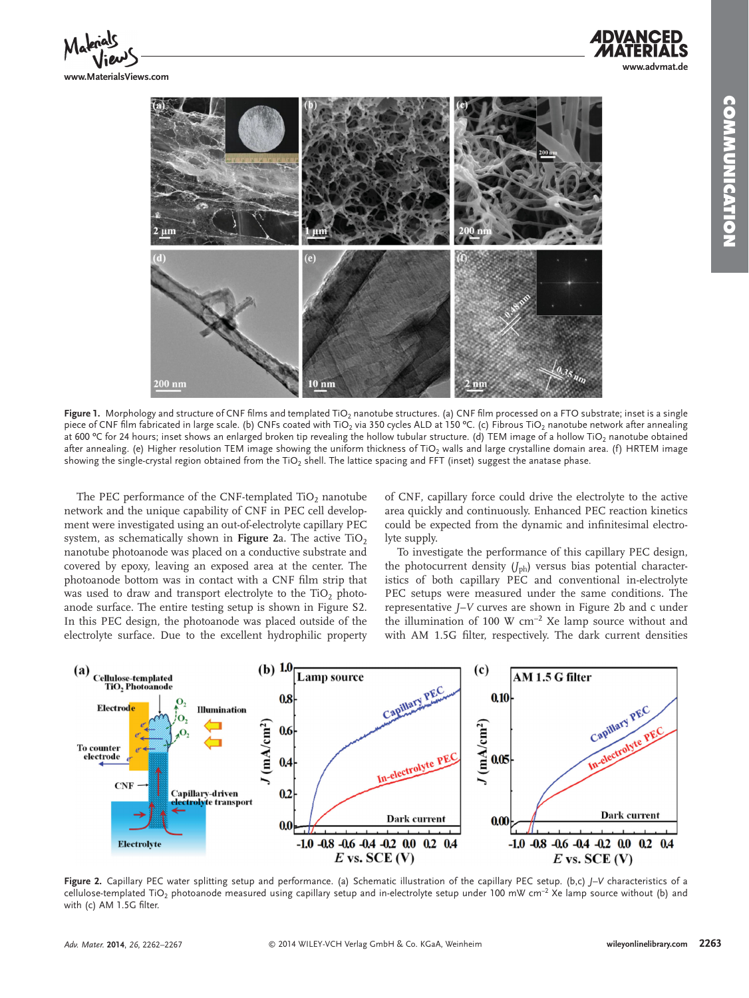**www.MaterialsViews.com**



Figure 1. Morphology and structure of CNF films and templated TiO<sub>2</sub> nanotube structures. (a) CNF film processed on a FTO substrate; inset is a single piece of CNF film fabricated in large scale. (b) CNFs coated with TiO<sub>2</sub> via 350 cycles ALD at 150 °C. (c) Fibrous TiO<sub>2</sub> nanotube network after annealing at 600 °C for 24 hours; inset shows an enlarged broken tip revealing the hollow tubular structure. (d) TEM image of a hollow TiO<sub>2</sub> nanotube obtained after annealing. (e) Higher resolution TEM image showing the uniform thickness of TiO<sub>2</sub> walls and large crystalline domain area. (f) HRTEM image showing the single-crystal region obtained from the TiO<sub>2</sub> shell. The lattice spacing and FFT (inset) suggest the anatase phase.

The PEC performance of the CNF-templated  $TiO<sub>2</sub>$  nanotube network and the unique capability of CNF in PEC cell development were investigated using an out-of-electrolyte capillary PEC system, as schematically shown in **Figure** 2a. The active TiO<sub>2</sub> nanotube photoanode was placed on a conductive substrate and covered by epoxy, leaving an exposed area at the center. The photoanode bottom was in contact with a CNF film strip that was used to draw and transport electrolyte to the  $TiO<sub>2</sub>$  photoanode surface. The entire testing setup is shown in Figure S2. In this PEC design, the photoanode was placed outside of the electrolyte surface. Due to the excellent hydrophilic property

of CNF, capillary force could drive the electrolyte to the active area quickly and continuously. Enhanced PEC reaction kinetics could be expected from the dynamic and infinitesimal electrolyte supply.

 To investigate the performance of this capillary PEC design, the photocurrent density  $(J_{ph})$  versus bias potential characteristics of both capillary PEC and conventional in-electrolyte PEC setups were measured under the same conditions. The representative *J*–*V* curves are shown in Figure 2b and c under the illumination of 100 W  $cm^{-2}$  Xe lamp source without and with AM 1.5G filter, respectively. The dark current densities



 **Figure 2.** Capillary PEC water splitting setup and performance. (a) Schematic illustration of the capillary PEC setup. (b,c) *J–V* characteristics of a cellulose-templated TiO<sub>2</sub> photoanode measured using capillary setup and in-electrolyte setup under 100 mW cm<sup>-2</sup> Xe lamp source without (b) and with (c)  $AM$  1.5G filter.

**www.advmat.de**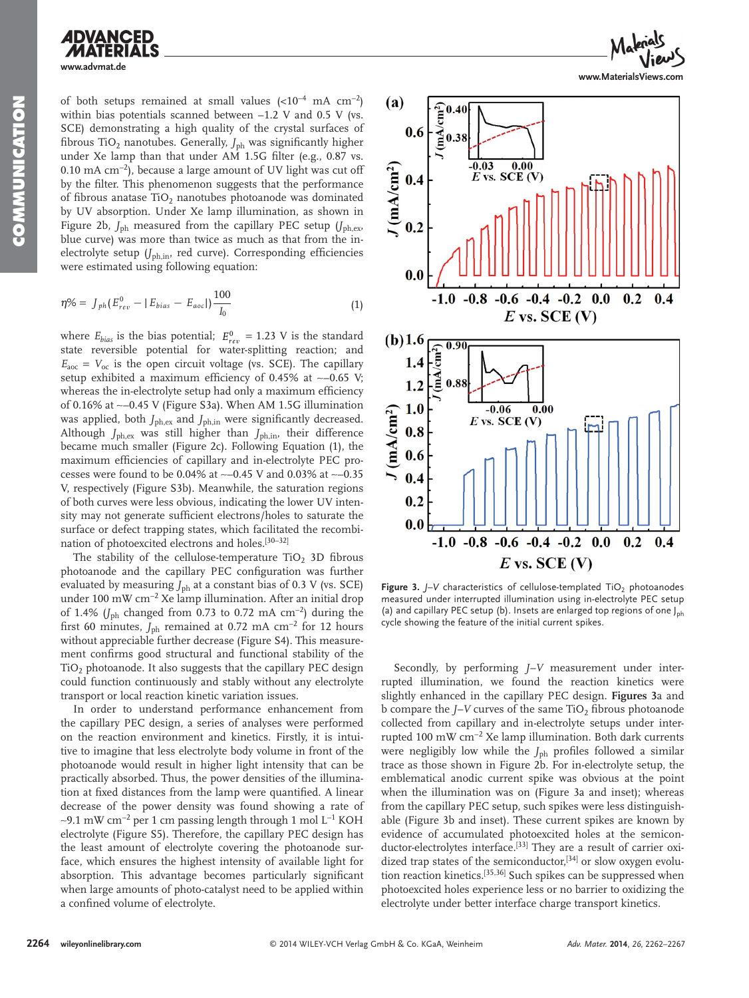**NOWWORLOW COMMUNICATION**

## **ADVANCED www.advmat.de**

of both setups remained at small values  $(<10^{-4}$  mA cm<sup>-2</sup>) within bias potentials scanned between −1.2 V and 0.5 V (vs. SCE) demonstrating a high quality of the crystal surfaces of fibrous TiO<sub>2</sub> nanotubes. Generally,  $J_{\text{ph}}$  was significantly higher under Xe lamp than that under  $AM$  1.5G filter (e.g., 0.87 vs. 0.10 mA cm<sup>-2</sup>), because a large amount of UV light was cut off by the filter. This phenomenon suggests that the performance of fibrous anatase  $TiO<sub>2</sub>$  nanotubes photoanode was dominated by UV absorption. Under Xe lamp illumination, as shown in Figure 2b,  $J_{\text{ph}}$  measured from the capillary PEC setup  $(J_{\text{ph,ex}},$ blue curve) was more than twice as much as that from the inelectrolyte setup (*J*<sub>ph,in</sub>, red curve). Corresponding efficiencies were estimated using following equation:

$$
\eta\% = J_{ph}(E_{rev}^0 - |E_{bias} - E_{acc}|) \frac{100}{I_0} \tag{1}
$$

where  $E_{bias}$  is the bias potential;  $E_{rev}^0 = 1.23$  V is the standard state reversible potential for water-splitting reaction; and  $E_{\text{aoc}} = V_{\text{oc}}$  is the open circuit voltage (vs. SCE). The capillary setup exhibited a maximum efficiency of 0.45% at ~−0.65 V; whereas the in-electrolyte setup had only a maximum efficiency of 0.16% at ∼ −0.45 V (Figure S3a). When AM 1.5G illumination was applied, both  $J_{ph,ex}$  and  $J_{ph,in}$  were significantly decreased. Although  $J_{ph,ex}$  was still higher than  $J_{ph,in}$ , their difference became much smaller (Figure 2c). Following Equation (1), the maximum efficiencies of capillary and in-electrolyte PEC processes were found to be 0.04% at ~−0.45 V and 0.03% at ~−0.35 V, respectively (Figure S3b). Meanwhile, the saturation regions of both curves were less obvious, indicating the lower UV intensity may not generate sufficient electrons/holes to saturate the surface or defect trapping states, which facilitated the recombination of photoexcited electrons and holes.<sup>[30-32]</sup>

The stability of the cellulose-temperature  $TiO<sub>2</sub>$  3D fibrous photoanode and the capillary PEC configuration was further evaluated by measuring  $J_{\text{ph}}$  at a constant bias of 0.3 V (vs. SCE) under 100 mW cm<sup>-2</sup> Xe lamp illumination. After an initial drop of 1.4% (*J*<sub>ph</sub> changed from 0.73 to 0.72 mA cm<sup>-2</sup>) during the first 60 minutes, *J*<sub>ph</sub> remained at 0.72 mA cm<sup>-2</sup> for 12 hours without appreciable further decrease (Figure S4). This measurement confirms good structural and functional stability of the  $TiO<sub>2</sub>$  photoanode. It also suggests that the capillary PEC design could function continuously and stably without any electrolyte transport or local reaction kinetic variation issues.

 In order to understand performance enhancement from the capillary PEC design, a series of analyses were performed on the reaction environment and kinetics. Firstly, it is intuitive to imagine that less electrolyte body volume in front of the photoanode would result in higher light intensity that can be practically absorbed. Thus, the power densities of the illumination at fixed distances from the lamp were quantified. A linear decrease of the power density was found showing a rate of ∼9.1 mW cm<sup>-2</sup> per 1 cm passing length through 1 mol L<sup>-1</sup> KOH electrolyte (Figure S5). Therefore, the capillary PEC design has the least amount of electrolyte covering the photoanode surface, which ensures the highest intensity of available light for absorption. This advantage becomes particularly significant when large amounts of photo-catalyst need to be applied within a confined volume of electrolyte.



**www.MaterialsViews.com**



**Figure 3.**  $J-V$  characteristics of cellulose-templated TiO<sub>2</sub> photoanodes measured under interrupted illumination using in-electrolyte PEC setup (a) and capillary PEC setup (b). Insets are enlarged top regions of one  $J_{\rm ph}$ cycle showing the feature of the initial current spikes.

 Secondly, by performing *J–V* measurement under interrupted illumination, we found the reaction kinetics were slightly enhanced in the capillary PEC design. **Figures 3** a and b compare the *J*–*V* curves of the same TiO<sub>2</sub> fibrous photoanode collected from capillary and in-electrolyte setups under interrupted 100 mW cm<sup>-2</sup> Xe lamp illumination. Both dark currents were negligibly low while the *J*<sub>ph</sub> profiles followed a similar trace as those shown in Figure 2b. For in-electrolyte setup, the emblematical anodic current spike was obvious at the point when the illumination was on (Figure 3a and inset); whereas from the capillary PEC setup, such spikes were less distinguishable (Figure 3b and inset). These current spikes are known by evidence of accumulated photoexcited holes at the semiconductor-electrolytes interface.<sup>[33]</sup> They are a result of carrier oxidized trap states of the semiconductor,<sup>[34]</sup> or slow oxygen evolution reaction kinetics.<sup>[35,36]</sup> Such spikes can be suppressed when photoexcited holes experience less or no barrier to oxidizing the electrolyte under better interface charge transport kinetics.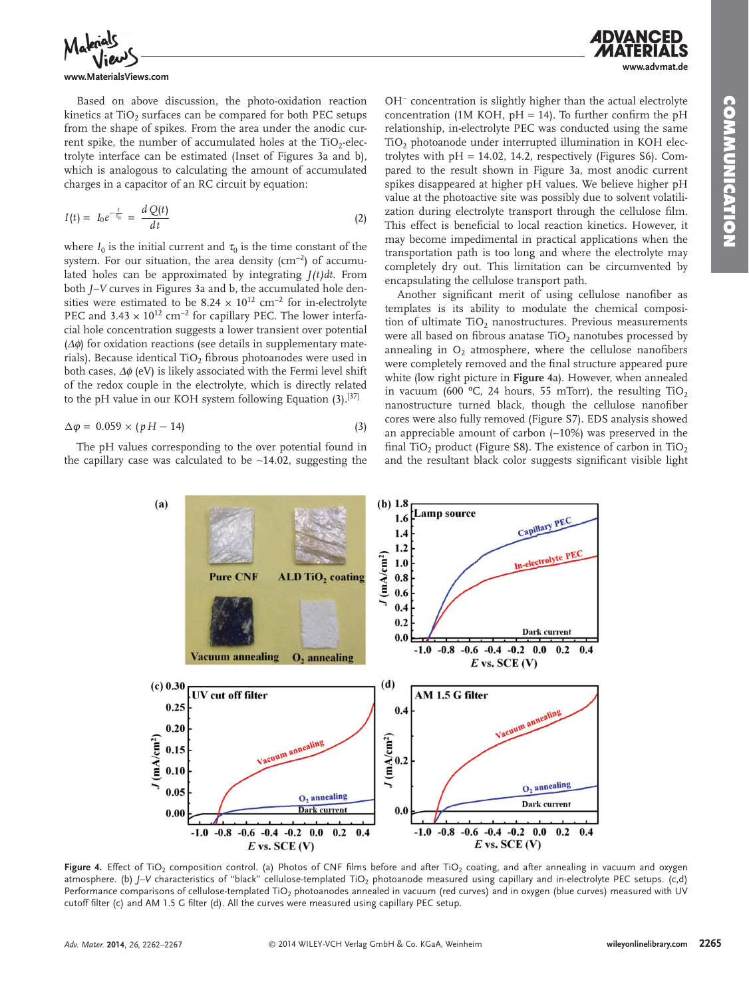**www.advmat.de**



#### **www.MaterialsViews.com**

 Based on above discussion, the photo-oxidation reaction kinetics at TiO<sub>2</sub> surfaces can be compared for both PEC setups from the shape of spikes. From the area under the anodic current spike, the number of accumulated holes at the  $TiO<sub>2</sub>$ -electrolyte interface can be estimated (Inset of Figures 3a and b), which is analogous to calculating the amount of accumulated charges in a capacitor of an RC circuit by equation:

$$
I(t) = I_0 e^{-\frac{t}{\tau_0}} = \frac{d Q(t)}{dt}
$$
 (2)

where  $I_0$  is the initial current and  $\tau_0$  is the time constant of the system. For our situation, the area density ( $\text{cm}^{-2}$ ) of accumulated holes can be approximated by integrating  $J(t)dt$ . From both *J*–*V* curves in Figures 3a and b, the accumulated hole densities were estimated to be  $8.24 \times 10^{12}$  cm<sup>-2</sup> for in-electrolyte PEC and  $3.43 \times 10^{12}$  cm<sup>-2</sup> for capillary PEC. The lower interfacial hole concentration suggests a lower transient over potential  $(\Delta \phi)$  for oxidation reactions (see details in supplementary materials). Because identical TiO<sub>2</sub> fibrous photoanodes were used in both cases,  $\Delta\phi$  (eV) is likely associated with the Fermi level shift of the redox couple in the electrolyte, which is directly related to the pH value in our KOH system following Equation  $(3)$ . [37]

$$
\Delta \varphi = 0.059 \times (pH - 14) \tag{3}
$$

 The pH values corresponding to the over potential found in the capillary case was calculated to be ∼ 14.02, suggesting the OH<sup>-</sup> concentration is slightly higher than the actual electrolyte concentration (1M KOH,  $pH = 14$ ). To further confirm the  $pH$ relationship, in-electrolyte PEC was conducted using the same  $TiO<sub>2</sub>$  photoanode under interrupted illumination in KOH electrolytes with  $pH = 14.02$ , 14.2, respectively (Figures S6). Compared to the result shown in Figure 3a, most anodic current spikes disappeared at higher pH values. We believe higher pH value at the photoactive site was possibly due to solvent volatilization during electrolyte transport through the cellulose film. This effect is beneficial to local reaction kinetics. However, it may become impedimental in practical applications when the transportation path is too long and where the electrolyte may completely dry out. This limitation can be circumvented by encapsulating the cellulose transport path.

Another significant merit of using cellulose nanofiber as templates is its ability to modulate the chemical composition of ultimate  $TiO<sub>2</sub>$  nanostructures. Previous measurements were all based on fibrous anatase  $TiO<sub>2</sub>$  nanotubes processed by annealing in  $O<sub>2</sub>$  atmosphere, where the cellulose nanofibers were completely removed and the final structure appeared pure white (low right picture in **Figure 4** a). However, when annealed in vacuum (600 °C, 24 hours, 55 mTorr), the resulting  $TiO<sub>2</sub>$ nanostructure turned black, though the cellulose nanofiber cores were also fully removed (Figure S7). EDS analysis showed an appreciable amount of carbon (~10%) was preserved in the final TiO<sub>2</sub> product (Figure S8). The existence of carbon in TiO<sub>2</sub> and the resultant black color suggests significant visible light



Figure 4. Effect of TiO<sub>2</sub> composition control. (a) Photos of CNF films before and after TiO<sub>2</sub> coating, and after annealing in vacuum and oxygen atmosphere. (b) *J-V* characteristics of "black" cellulose-templated TiO<sub>2</sub> photoanode measured using capillary and in-electrolyte PEC setups. (c,d) Performance comparisons of cellulose-templated TiO<sub>2</sub> photoanodes annealed in vacuum (red curves) and in oxygen (blue curves) measured with UV cutoff filter (c) and AM 1.5 G filter (d). All the curves were measured using capillary PEC setup.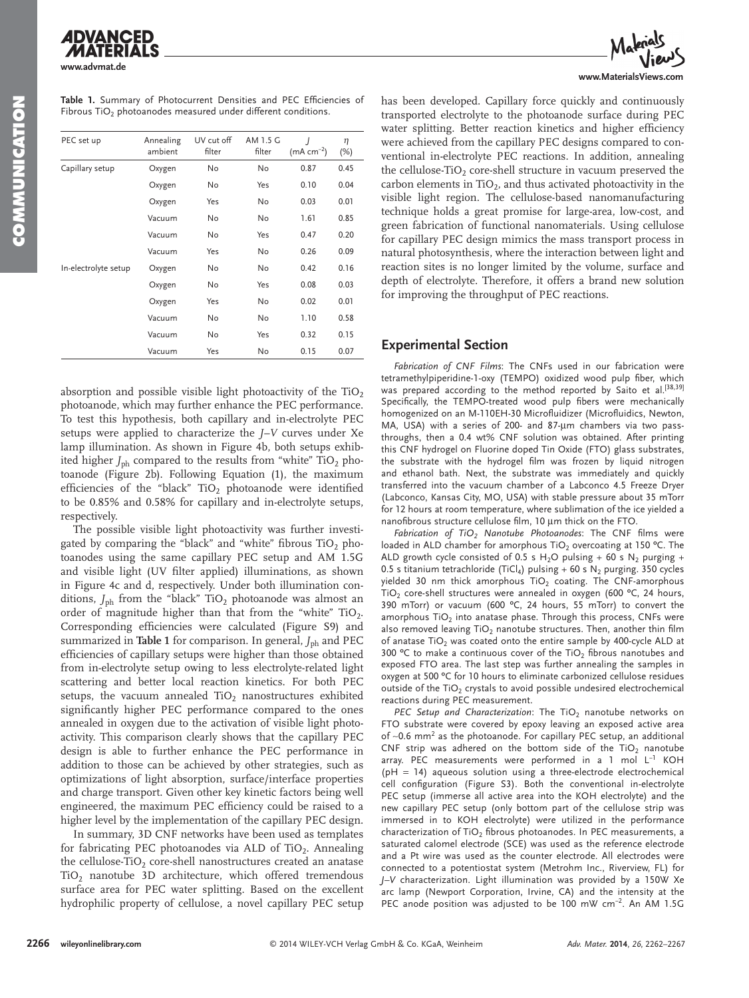**www.advmat.de**

| PEC set up           | Annealing<br>ambient | UV cut off<br>filter | AM 1.5 G<br>filter | $\overline{1}$<br>$(mA cm^{-2})$ | η<br>(%) |
|----------------------|----------------------|----------------------|--------------------|----------------------------------|----------|
| Capillary setup      | Oxygen               | No                   | <b>No</b>          | 0.87                             | 0.45     |
|                      | Oxygen               | No                   | Yes                | 0.10                             | 0.04     |
|                      | Oxygen               | Yes                  | No                 | 0.03                             | 0.01     |
|                      | Vacuum               | No                   | No                 | 1.61                             | 0.85     |
|                      | Vacuum               | No                   | Yes                | 0.47                             | 0.20     |
|                      | Vacuum               | Yes                  | No                 | 0.26                             | 0.09     |
| In-electrolyte setup | Oxygen               | No                   | No                 | 0.42                             | 0.16     |
|                      | Oxygen               | No                   | Yes                | 0.08                             | 0.03     |
|                      | Oxygen               | Yes                  | No                 | 0.02                             | 0.01     |
|                      | Vacuum               | No                   | No                 | 1.10                             | 0.58     |
|                      | Vacuum               | No                   | Yes                | 0.32                             | 0.15     |
|                      | Vacuum               | Yes                  | No                 | 0.15                             | 0.07     |

Table 1. Summary of Photocurrent Densities and PEC Efficiencies of Fibrous TiO<sub>2</sub> photoanodes measured under different conditions.

absorption and possible visible light photoactivity of the  $TiO<sub>2</sub>$ photoanode, which may further enhance the PEC performance. To test this hypothesis, both capillary and in-electrolyte PEC setups were applied to characterize the *J–V* curves under Xe lamp illumination. As shown in Figure 4b, both setups exhibited higher  $J_{\text{ph}}$  compared to the results from "white"  $\text{TiO}_2$  photoanode (Figure 2b). Following Equation (1), the maximum efficiencies of the "black"  $TiO<sub>2</sub>$  photoanode were identified to be 0.85% and 0.58% for capillary and in-electrolyte setups, respectively.

 The possible visible light photoactivity was further investigated by comparing the "black" and "white" fibrous  $TiO<sub>2</sub>$  photoanodes using the same capillary PEC setup and AM 1.5G and visible light (UV filter applied) illuminations, as shown in Figure 4c and d, respectively. Under both illumination conditions,  $J_{ph}$  from the "black" TiO<sub>2</sub> photoanode was almost an order of magnitude higher than that from the "white"  $TiO<sub>2</sub>$ . Corresponding efficiencies were calculated (Figure S9) and summarized in **Table 1** for comparison. In general,  $J_{ph}$  and PEC efficiencies of capillary setups were higher than those obtained from in-electrolyte setup owing to less electrolyte-related light scattering and better local reaction kinetics. For both PEC setups, the vacuum annealed  $TiO<sub>2</sub>$  nanostructures exhibited significantly higher PEC performance compared to the ones annealed in oxygen due to the activation of visible light photoactivity. This comparison clearly shows that the capillary PEC design is able to further enhance the PEC performance in addition to those can be achieved by other strategies, such as optimizations of light absorption, surface/interface properties and charge transport. Given other key kinetic factors being well engineered, the maximum PEC efficiency could be raised to a higher level by the implementation of the capillary PEC design.

 In summary, 3D CNF networks have been used as templates for fabricating PEC photoanodes via ALD of TiO<sub>2</sub>. Annealing the cellulose-TiO<sub>2</sub> core-shell nanostructures created an anatase  $TiO<sub>2</sub>$  nanotube 3D architecture, which offered tremendous surface area for PEC water splitting. Based on the excellent hydrophilic property of cellulose, a novel capillary PEC setup



has been developed. Capillary force quickly and continuously transported electrolyte to the photoanode surface during PEC water splitting. Better reaction kinetics and higher efficiency were achieved from the capillary PEC designs compared to conventional in-electrolyte PEC reactions. In addition, annealing the cellulose-TiO<sub>2</sub> core-shell structure in vacuum preserved the carbon elements in  $TiO<sub>2</sub>$ , and thus activated photoactivity in the visible light region. The cellulose-based nanomanufacturing technique holds a great promise for large-area, low-cost, and green fabrication of functional nanomaterials. Using cellulose for capillary PEC design mimics the mass transport process in natural photosynthesis, where the interaction between light and reaction sites is no longer limited by the volume, surface and depth of electrolyte. Therefore, it offers a brand new solution for improving the throughput of PEC reactions.

#### **Experimental Section**

Fabrication of CNF Films: The CNFs used in our fabrication were tetramethylpiperidine-1-oxy (TEMPO) oxidized wood pulp fiber, which was prepared according to the method reported by Saito et al.<sup>[38,39]</sup> Specifically, the TEMPO-treated wood pulp fibers were mechanically homogenized on an M-110EH-30 Microfluidizer (Microfluidics, Newton, MA, USA) with a series of 200- and 87-μm chambers via two passthroughs, then a 0.4 wt% CNF solution was obtained. After printing this CNF hydrogel on Fluorine doped Tin Oxide (FTO) glass substrates, the substrate with the hydrogel film was frozen by liquid nitrogen and ethanol bath. Next, the substrate was immediately and quickly transferred into the vacuum chamber of a Labconco 4.5 Freeze Dryer (Labconco, Kansas City, MO, USA) with stable pressure about 35 mTorr for 12 hours at room temperature, where sublimation of the ice yielded a nanofibrous structure cellulose film, 10 μm thick on the FTO.

Fabrication of TiO<sub>2</sub> Nanotube Photoanodes: The CNF films were loaded in ALD chamber for amorphous TiO<sub>2</sub> overcoating at 150 °C. The ALD growth cycle consisted of 0.5 s H<sub>2</sub>O pulsing + 60 s N<sub>2</sub> purging + 0.5 s titanium tetrachloride (TiCl<sub>4</sub>) pulsing + 60 s N<sub>2</sub> purging. 350 cycles yielded 30 nm thick amorphous  $TiO<sub>2</sub>$  coating. The CNF-amorphous TiO<sub>2</sub> core-shell structures were annealed in oxygen (600 °C, 24 hours, 390 mTorr) or vacuum (600 ºC, 24 hours, 55 mTorr) to convert the amorphous  $TiO<sub>2</sub>$  into anatase phase. Through this process, CNFs were also removed leaving  $TiO<sub>2</sub>$  nanotube structures. Then, another thin film of anatase TiO<sub>2</sub> was coated onto the entire sample by 400-cycle ALD at 300 °C to make a continuous cover of the TiO<sub>2</sub> fibrous nanotubes and exposed FTO area. The last step was further annealing the samples in oxygen at 500 ºC for 10 hours to eliminate carbonized cellulose residues outside of the  $TiO<sub>2</sub>$  crystals to avoid possible undesired electrochemical reactions during PEC measurement.

*PEC Setup and Characterization*: The TiO<sub>2</sub> nanotube networks on FTO substrate were covered by epoxy leaving an exposed active area of ~0.6 mm<sup>2</sup> as the photoanode. For capillary PEC setup, an additional CNF strip was adhered on the bottom side of the TiO<sub>2</sub> nanotube array. PEC measurements were performed in a 1 mol L<sup>-1</sup> KOH (pH = 14) aqueous solution using a three-electrode electrochemical cell configuration (Figure S3). Both the conventional in-electrolyte PEC setup (immerse all active area into the KOH electrolyte) and the new capillary PEC setup (only bottom part of the cellulose strip was immersed in to KOH electrolyte) were utilized in the performance characterization of  $TiO<sub>2</sub>$  fibrous photoanodes. In PEC measurements, a saturated calomel electrode (SCE) was used as the reference electrode and a Pt wire was used as the counter electrode. All electrodes were connected to a potentiostat system (Metrohm Inc., Riverview, FL) for *J–V* characterization. Light illumination was provided by a 150W Xe arc lamp (Newport Corporation, Irvine, CA) and the intensity at the PEC anode position was adjusted to be 100 mW cm<sup>-2</sup>. An AM 1.5G